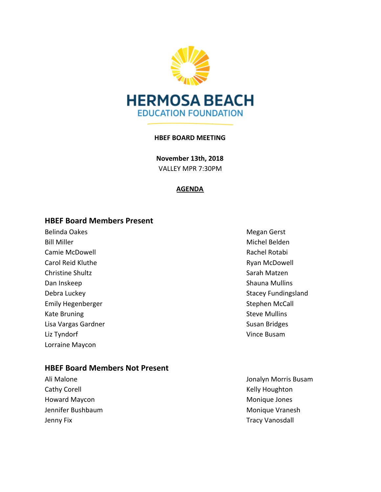

### **HBEF BOARD MEETING**

**November 13th, 2018** VALLEY MPR 7:30PM

### **AGENDA**

### **HBEF Board Members Present**

Belinda Oakes **Megan Gerst** Megan Gerst Bill Miller Michel Belden and Michel Belden and Michel Belden and Michel Belden and Michel Belden and Michel Belden Camie McDowell **Rachel Rotabi** Rachel Rotabi Carol Reid Kluthe **Carol Ryan McDowell** Christine Shultz **Sarah Matzen** Sarah Matzen Dan Inskeep Shauna Mullins Debra Luckey **Stacey Fundingsland** Emily Hegenberger National Stephen McCall Kate Bruning **Steve Mulling** Steve Mullins Lisa Vargas Gardner National Susan Bridges Cardner National Susan Bridges Liz Tyndorf Vince Busam Lorraine Maycon

## **HBEF Board Members Not Present**

Cathy Corell **Cathy Corell** Cathy Corell **Cathy Corell** Cathy Houghton Howard Maycon **Monique Jones** Monique Jones Jennifer Bushbaum and The Controller Controller Monique Vranesh Jenny Fix **Tracy Vanosdall** 

Ali Malone Jonalyn Morris Busam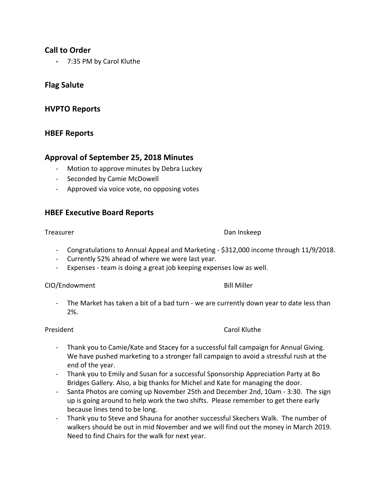# **Call to Order**

**-** 7:35 PM by Carol Kluthe

# **Flag Salute**

# **HVPTO Reports**

## **HBEF Reports**

## **Approval of September 25, 2018 Minutes**

- Motion to approve minutes by Debra Luckey
- Seconded by Camie McDowell
- Approved via voice vote, no opposing votes

## **HBEF Executive Board Reports**

### Treasurer **Dan Inskeep**

- Congratulations to Annual Appeal and Marketing \$312,000 income through 11/9/2018.
- Currently 52% ahead of where we were last year.
- Expenses team is doing a great job keeping expenses low as well.

### CIO/Endowment Bill Miller

- The Market has taken a bit of a bad turn - we are currently down year to date less than 2%.

### President Carol Kluthe

- Thank you to Camie/Kate and Stacey for a successful fall campaign for Annual Giving. We have pushed marketing to a stronger fall campaign to avoid a stressful rush at the end of the year.
- Thank you to Emily and Susan for a successful Sponsorship Appreciation Party at Bo Bridges Gallery. Also, a big thanks for Michel and Kate for managing the door.
- Santa Photos are coming up November 25th and December 2nd, 10am 3:30. The sign up is going around to help work the two shifts. Please remember to get there early because lines tend to be long.
- Thank you to Steve and Shauna for another successful Skechers Walk. The number of walkers should be out in mid November and we will find out the money in March 2019. Need to find Chairs for the walk for next year.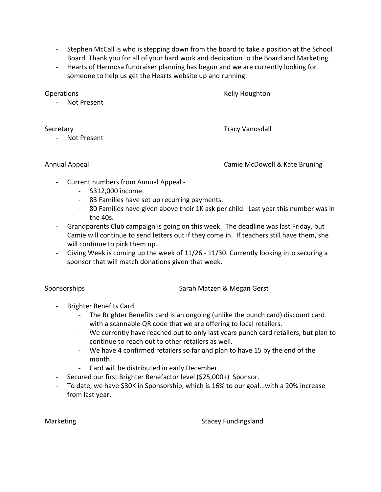- Stephen McCall is who is stepping down from the board to take a position at the School Board. Thank you for all of your hard work and dedication to the Board and Marketing.
- Hearts of Hermosa fundraiser planning has begun and we are currently looking for someone to help us get the Hearts website up and running.

**Operations Contract Contract Contract Contract Contract Contract Contract Contract Contract Contract Contract Contract Contract Contract Contract Contract Contract Contract Contract Contract Contract Contract Contract Con** 

- Not Present

Secretary **Tracy Vanosdall** 

- Not Present

Annual Appeal Camie McDowell & Kate Bruning

- Current numbers from Annual Appeal
	- \$312,000 income.
	- 83 Families have set up recurring payments.
	- 80 Families have given above their 1K ask per child. Last year this number was in the 40s.
- Grandparents Club campaign is going on this week. The deadline was last Friday, but Camie will continue to send letters out if they come in. If teachers still have them, she will continue to pick them up.
- Giving Week is coming up the week of 11/26 11/30. Currently looking into securing a sponsor that will match donations given that week.

Sponsorships Sarah Matzen & Megan Gerst

- Brighter Benefits Card
	- The Brighter Benefits card is an ongoing (unlike the punch card) discount card with a scannable QR code that we are offering to local retailers.
	- We currently have reached out to only last years punch card retailers, but plan to continue to reach out to other retailers as well.
	- We have 4 confirmed retailers so far and plan to have 15 by the end of the month.
	- Card will be distributed in early December.
- Secured our first Brighter Benefactor level (\$25,000+) Sponsor.
- To date, we have \$30K in Sponsorship, which is 16% to our goal...with a 20% increase from last year.

Marketing Stacey Fundingsland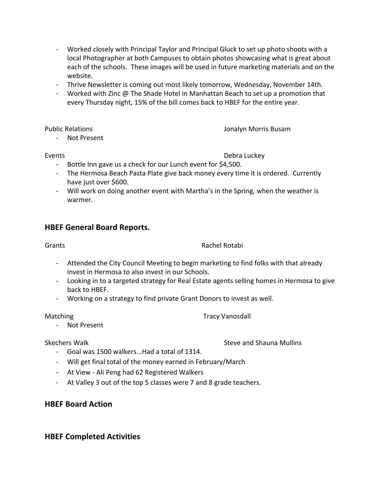- Worked closely with Principal Taylor and Principal Gluck to set up photo shoots with a local Photographer at both Campuses to obtain photos showcasing what is great about each of the schools. These images will be used in future marketing materials and on the website.
- Thrive Newsletter is coming out most likely tomorrow, Wednesday, November 14th.
- Worked with Zinc @ The Shade Hotel in Manhattan Beach to set up a promotion that every Thursday night, 15% of the bill comes back to HBEF for the entire year.

Public Relations Jonalyn Morris Busam

- Not Present

## Events **Debra Luckey**

- Bottle Inn gave us a check for our Lunch event for \$4,500.
- The Hermosa Beach Pasta Plate give back money every time it is ordered. Currently have just over \$600.
- Will work on doing another event with Martha's in the Spring, when the weather is warmer.

# **HBEF General Board Reports.**

## Grants **Rachel Rotabi**

- Attended the City Council Meeting to begin marketing to find folks with that already invest in Hermosa to also invest in our Schools.
- Looking in to a targeted strategy for Real Estate agents selling homes in Hermosa to give back to HBEF.
- Working on a strategy to find private Grant Donors to invest as well.

Matching Tracy Vanosdall

- Not Present

# Skechers Walk Steve and Shauna Mullins

- Goal was 1500 walkers...Had a total of 1314.
- Will get final total of the money earned in February/March
- At View Ali Peng had 62 Registered Walkers
- At Valley 3 out of the top 5 classes were 7 and 8 grade teachers.

# **HBEF Board Action**

# **HBEF Completed Activities**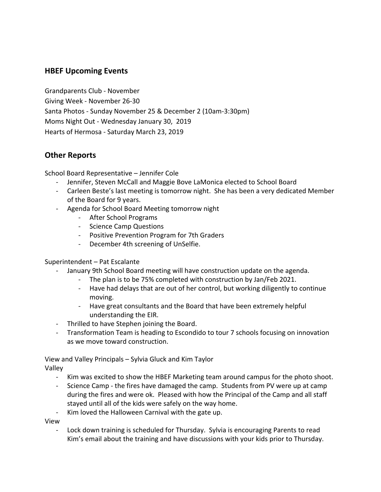# **HBEF Upcoming Events**

Grandparents Club - November Giving Week - November 26-30 Santa Photos - Sunday November 25 & December 2 (10am-3:30pm) Moms Night Out - Wednesday January 30, 2019 Hearts of Hermosa - Saturday March 23, 2019

# **Other Reports**

School Board Representative – Jennifer Cole

- Jennifer, Steven McCall and Maggie Bove LaMonica elected to School Board
- Carleen Beste's last meeting is tomorrow night. She has been a very dedicated Member of the Board for 9 years.
- Agenda for School Board Meeting tomorrow night
	- After School Programs
	- Science Camp Questions
	- Positive Prevention Program for 7th Graders
	- December 4th screening of UnSelfie.

### Superintendent – Pat Escalante

- January 9th School Board meeting will have construction update on the agenda.
	- The plan is to be 75% completed with construction by Jan/Feb 2021.
	- Have had delays that are out of her control, but working diligently to continue moving.
	- Have great consultants and the Board that have been extremely helpful understanding the EIR.
- Thrilled to have Stephen joining the Board.
- Transformation Team is heading to Escondido to tour 7 schools focusing on innovation as we move toward construction.

View and Valley Principals – Sylvia Gluck and Kim Taylor Valley

- Kim was excited to show the HBEF Marketing team around campus for the photo shoot.
- Science Camp the fires have damaged the camp. Students from PV were up at camp during the fires and were ok. Pleased with how the Principal of the Camp and all staff stayed until all of the kids were safely on the way home.
- Kim loved the Halloween Carnival with the gate up.

View

- Lock down training is scheduled for Thursday. Sylvia is encouraging Parents to read Kim's email about the training and have discussions with your kids prior to Thursday.